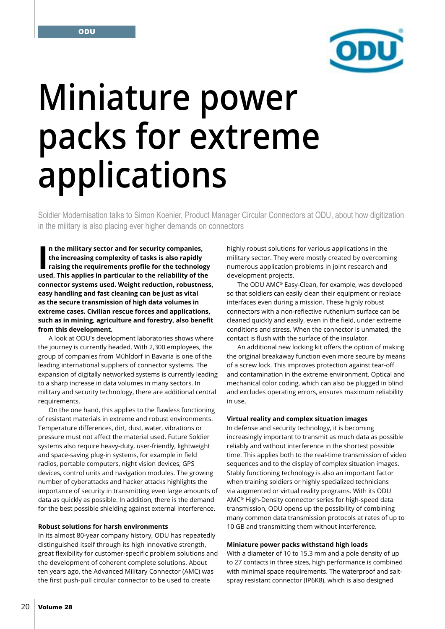

# **Miniature power packs for extreme applications**

Soldier Modernisation talks to Simon Koehler, Product Manager Circular Connectors at ODU, about how digitization in the military is also placing ever higher demands on connectors

In the military sector and for security companies,<br>the increasing complexity of tasks is also rapidly<br>raising the requirements profile for the technology<br>used. This applies in particular to the reliability of the **n the military sector and for security companies, the increasing complexity of tasks is also rapidly raising the requirements profile for the technology connector systems used. Weight reduction, robustness, easy handling and fast cleaning can be just as vital as the secure transmission of high data volumes in extreme cases. Civilian rescue forces and applications, such as in mining, agriculture and forestry, also benefit from this development.**

A look at ODU's development laboratories shows where the journey is currently headed. With 2,300 employees, the group of companies from Mühldorf in Bavaria is one of the leading international suppliers of connector systems. The expansion of digitally networked systems is currently leading to a sharp increase in data volumes in many sectors. In military and security technology, there are additional central requirements.

On the one hand, this applies to the flawless functioning of resistant materials in extreme and robust environments. Temperature differences, dirt, dust, water, vibrations or pressure must not affect the material used. Future Soldier systems also require heavy-duty, user-friendly, lightweight and space-saving plug-in systems, for example in field radios, portable computers, night vision devices, GPS devices, control units and navigation modules. The growing number of cyberattacks and hacker attacks highlights the importance of security in transmitting even large amounts of data as quickly as possible. In addition, there is the demand for the best possible shielding against external interference.

## **Robust solutions for harsh environments**

In its almost 80-year company history, ODU has repeatedly distinguished itself through its high innovative strength, great flexibility for customer-specific problem solutions and the development of coherent complete solutions. About ten years ago, the Advanced Military Connector (AMC) was the first push-pull circular connector to be used to create

highly robust solutions for various applications in the military sector. They were mostly created by overcoming numerous application problems in joint research and development projects.

The ODU AMC® Easy-Clean, for example, was developed so that soldiers can easily clean their equipment or replace interfaces even during a mission. These highly robust connectors with a non-reflective ruthenium surface can be cleaned quickly and easily, even in the field, under extreme conditions and stress. When the connector is unmated, the contact is flush with the surface of the insulator.

An additional new locking kit offers the option of making the original breakaway function even more secure by means of a screw lock. This improves protection against tear-off and contamination in the extreme environment. Optical and mechanical color coding, which can also be plugged in blind and excludes operating errors, ensures maximum reliability in use.

#### **Virtual reality and complex situation images**

In defense and security technology, it is becoming increasingly important to transmit as much data as possible reliably and without interference in the shortest possible time. This applies both to the real-time transmission of video sequences and to the display of complex situation images. Stably functioning technology is also an important factor when training soldiers or highly specialized technicians via augmented or virtual reality programs. With its ODU AMC® High-Density connector series for high-speed data transmission, ODU opens up the possibility of combining many common data transmission protocols at rates of up to 10 GB and transmitting them without interference.

## **Miniature power packs withstand high loads**

With a diameter of 10 to 15.3 mm and a pole density of up to 27 contacts in three sizes, high performance is combined with minimal space requirements. The waterproof and saltspray resistant connector (IP6K8), which is also designed